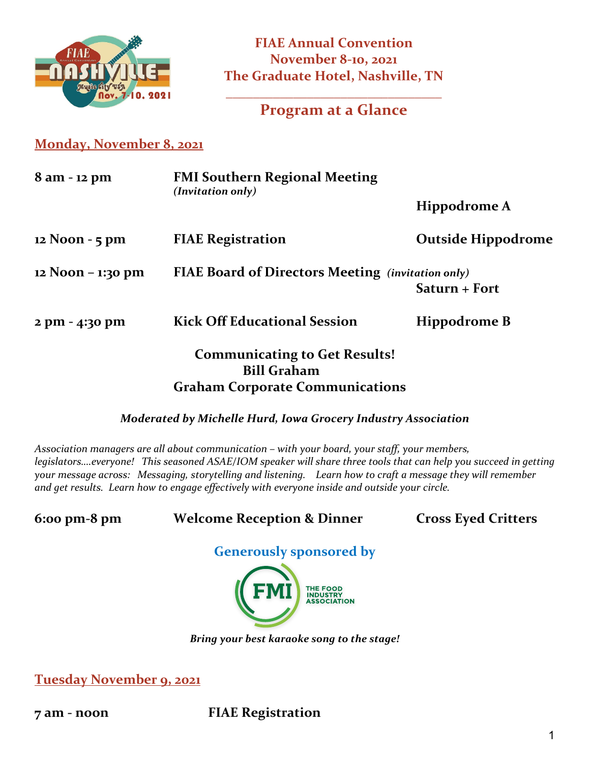

### **\_\_\_\_\_\_\_\_\_\_\_\_\_\_\_\_\_\_\_\_\_\_\_\_\_\_\_\_\_\_\_\_ Program at a Glance**

### **Monday, November 8, 2021**

| 8 am - 12 pm      | <b>FMI Southern Regional Meeting</b><br>(Invitation only)                   |                           |
|-------------------|-----------------------------------------------------------------------------|---------------------------|
|                   |                                                                             | Hippodrome A              |
| $12$ Noon - 5 pm  | <b>FIAE Registration</b>                                                    | <b>Outside Hippodrome</b> |
| 12 Noon – 1:30 pm | <b>FIAE Board of Directors Meeting (invitation only)</b><br>$Saturn + Fort$ |                           |
| 2 pm - 4:30 pm    | <b>Kick Off Educational Session</b>                                         | Hippodrome B              |
|                   | $C$ ammunicating to $C$ at $D$ acultal                                      |                           |

#### **Communicating to Get Results! Bill Graham Graham Corporate Communications**

#### *Moderated by Michelle Hurd, Iowa Grocery Industry Association*

*Association managers are all about communication – with your board, your staff, your members, legislators….everyone! This seasoned ASAE/IOM speaker will share three tools that can help you succeed in getting your message across: Messaging, storytelling and listening. Learn how to craft a message they will remember and get results. Learn how to engage effectively with everyone inside and outside your circle.*

**6:00 pm-8 pm Welcome Reception & Dinner Cross Eyed Critters** 





*Bring your best karaoke song to the stage!* 

**Tuesday November 9, 2021**

**7 am - noon FIAE Registration**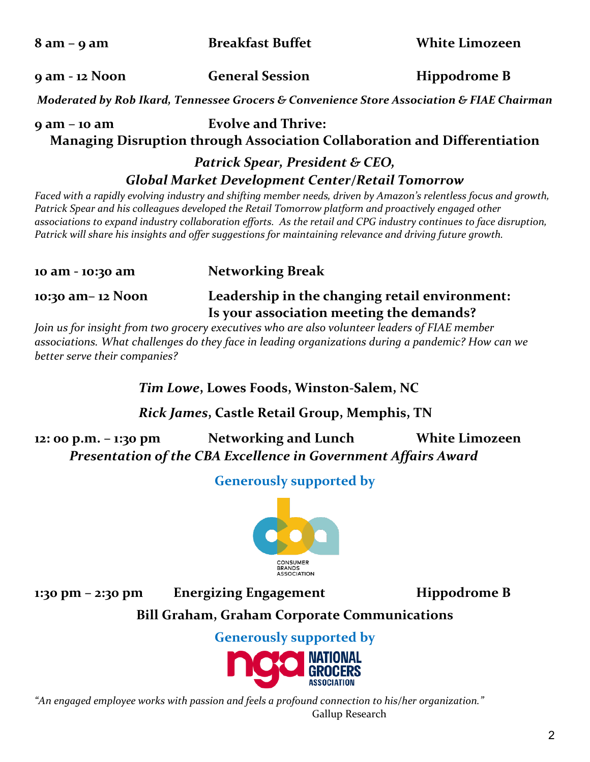**8 am – 9 am Breakfast Buffet White Limozeen**

**9 am - 12 Noon General Session Hippodrome B**

*Moderated by Rob Ikard, Tennessee Grocers & Convenience Store Association & FIAE Chairman*

### **9 am – 10 am Evolve and Thrive: Managing Disruption through Association Collaboration and Differentiation**

### *Patrick Spear, President & CEO, Global Market Development Center/Retail Tomorrow*

*Faced with a rapidly evolving industry and shifting member needs, driven by Amazon's relentless focus and growth, Patrick Spear and his colleagues developed the Retail Tomorrow platform and proactively engaged other associations to expand industry collaboration efforts. As the retail and CPG industry continues to face disruption, Patrick will share his insights and offer suggestions for maintaining relevance and driving future growth.*

**10 am - 10:30 am Networking Break**

### **10:30 am– 12 Noon Leadership in the changing retail environment: Is your association meeting the demands?**

*Join us for insight from two grocery executives who are also volunteer leaders of FIAE member associations. What challenges do they face in leading organizations during a pandemic? How can we better serve their companies?*

# *Tim Lowe***, Lowes Foods, Winston-Salem, NC**

# *Rick James***, Castle Retail Group, Memphis, TN**

**12: 00 p.m. – 1:30 pm Networking and Lunch White Limozeen** *Presentation of the CBA Excellence in Government Affairs Award*

# **Generously supported by**



**1:30 pm – 2:30 pm Energizing Engagement Hippodrome B**

# **Bill Graham, Graham Corporate Communications**

### **Generously supported by**



*"An engaged employee works with passion and feels a profound connection to his/her organization."* Gallup Research